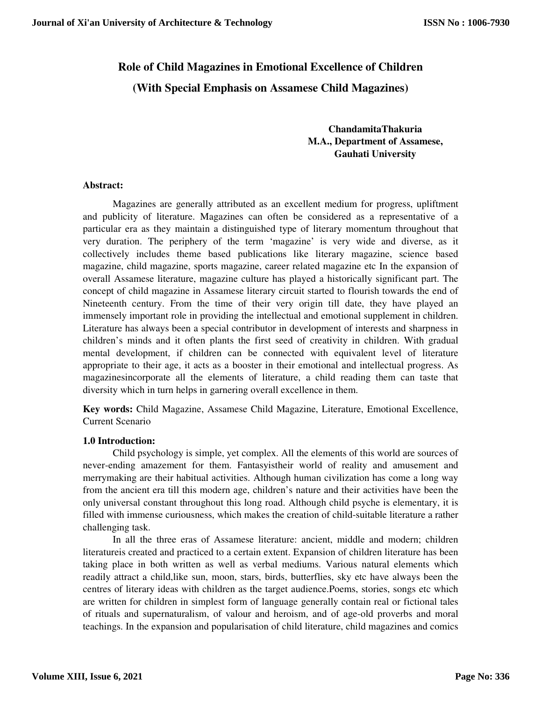# **Role of Child Magazines in Emotional Excellence of Children**

**(With Special Emphasis on Assamese Child Magazines)**

**ChandamitaThakuria M.A., Department of Assamese, Gauhati University** 

## **Abstract:**

 Magazines are generally attributed as an excellent medium for progress, upliftment and publicity of literature. Magazines can often be considered as a representative of a particular era as they maintain a distinguished type of literary momentum throughout that very duration. The periphery of the term 'magazine' is very wide and diverse, as it collectively includes theme based publications like literary magazine, science based magazine, child magazine, sports magazine, career related magazine etc In the expansion of overall Assamese literature, magazine culture has played a historically significant part. The concept of child magazine in Assamese literary circuit started to flourish towards the end of Nineteenth century. From the time of their very origin till date, they have played an immensely important role in providing the intellectual and emotional supplement in children. Literature has always been a special contributor in development of interests and sharpness in children's minds and it often plants the first seed of creativity in children. With gradual mental development, if children can be connected with equivalent level of literature appropriate to their age, it acts as a booster in their emotional and intellectual progress. As magazinesincorporate all the elements of literature, a child reading them can taste that diversity which in turn helps in garnering overall excellence in them.

**Key words:** Child Magazine, Assamese Child Magazine, Literature, Emotional Excellence, Current Scenario

# **1.0 Introduction:**

 Child psychology is simple, yet complex. All the elements of this world are sources of never-ending amazement for them. Fantasyistheir world of reality and amusement and merrymaking are their habitual activities. Although human civilization has come a long way from the ancient era till this modern age, children's nature and their activities have been the only universal constant throughout this long road. Although child psyche is elementary, it is filled with immense curiousness, which makes the creation of child-suitable literature a rather challenging task.

 In all the three eras of Assamese literature: ancient, middle and modern; children literatureis created and practiced to a certain extent. Expansion of children literature has been taking place in both written as well as verbal mediums. Various natural elements which readily attract a child,like sun, moon, stars, birds, butterflies, sky etc have always been the centres of literary ideas with children as the target audience.Poems, stories, songs etc which are written for children in simplest form of language generally contain real or fictional tales of rituals and supernaturalism, of valour and heroism, and of age-old proverbs and moral teachings. In the expansion and popularisation of child literature, child magazines and comics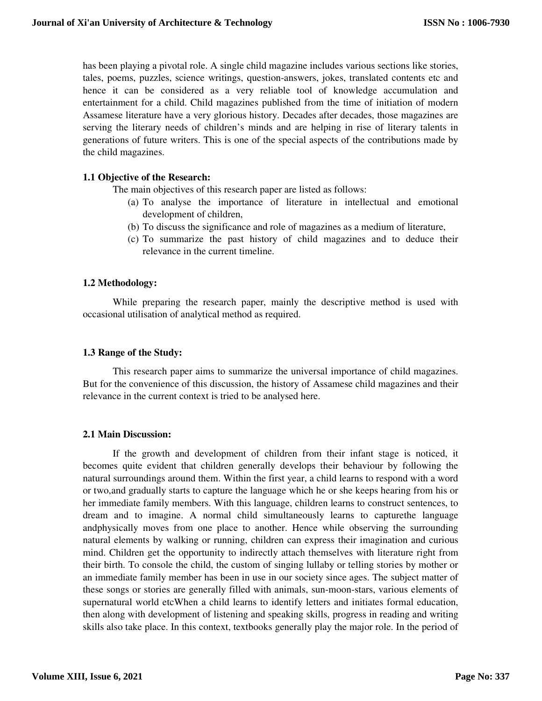has been playing a pivotal role. A single child magazine includes various sections like stories, tales, poems, puzzles, science writings, question-answers, jokes, translated contents etc and hence it can be considered as a very reliable tool of knowledge accumulation and entertainment for a child. Child magazines published from the time of initiation of modern Assamese literature have a very glorious history. Decades after decades, those magazines are serving the literary needs of children's minds and are helping in rise of literary talents in generations of future writers. This is one of the special aspects of the contributions made by the child magazines.

## **1.1 Objective of the Research:**

The main objectives of this research paper are listed as follows:

- (a) To analyse the importance of literature in intellectual and emotional development of children,
- (b) To discuss the significance and role of magazines as a medium of literature,
- (c) To summarize the past history of child magazines and to deduce their relevance in the current timeline.

## **1.2 Methodology:**

While preparing the research paper, mainly the descriptive method is used with occasional utilisation of analytical method as required.

## **1.3 Range of the Study:**

This research paper aims to summarize the universal importance of child magazines. But for the convenience of this discussion, the history of Assamese child magazines and their relevance in the current context is tried to be analysed here.

## **2.1 Main Discussion:**

If the growth and development of children from their infant stage is noticed, it becomes quite evident that children generally develops their behaviour by following the natural surroundings around them. Within the first year, a child learns to respond with a word or two,and gradually starts to capture the language which he or she keeps hearing from his or her immediate family members. With this language, children learns to construct sentences, to dream and to imagine. A normal child simultaneously learns to capturethe language andphysically moves from one place to another. Hence while observing the surrounding natural elements by walking or running, children can express their imagination and curious mind. Children get the opportunity to indirectly attach themselves with literature right from their birth. To console the child, the custom of singing lullaby or telling stories by mother or an immediate family member has been in use in our society since ages. The subject matter of these songs or stories are generally filled with animals, sun-moon-stars, various elements of supernatural world etcWhen a child learns to identify letters and initiates formal education, then along with development of listening and speaking skills, progress in reading and writing skills also take place. In this context, textbooks generally play the major role. In the period of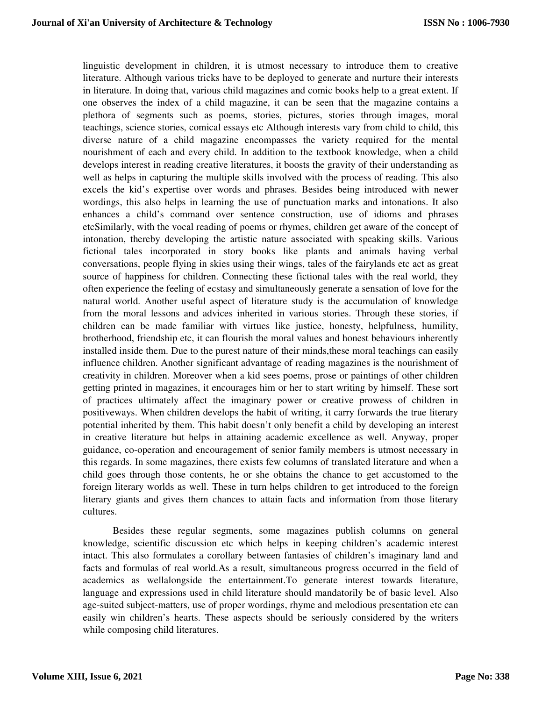linguistic development in children, it is utmost necessary to introduce them to creative literature. Although various tricks have to be deployed to generate and nurture their interests in literature. In doing that, various child magazines and comic books help to a great extent. If one observes the index of a child magazine, it can be seen that the magazine contains a plethora of segments such as poems, stories, pictures, stories through images, moral teachings, science stories, comical essays etc Although interests vary from child to child, this diverse nature of a child magazine encompasses the variety required for the mental nourishment of each and every child. In addition to the textbook knowledge, when a child develops interest in reading creative literatures, it boosts the gravity of their understanding as well as helps in capturing the multiple skills involved with the process of reading. This also excels the kid's expertise over words and phrases. Besides being introduced with newer wordings, this also helps in learning the use of punctuation marks and intonations. It also enhances a child's command over sentence construction, use of idioms and phrases etcSimilarly, with the vocal reading of poems or rhymes, children get aware of the concept of intonation, thereby developing the artistic nature associated with speaking skills. Various fictional tales incorporated in story books like plants and animals having verbal conversations, people flying in skies using their wings, tales of the fairylands etc act as great source of happiness for children. Connecting these fictional tales with the real world, they often experience the feeling of ecstasy and simultaneously generate a sensation of love for the natural world. Another useful aspect of literature study is the accumulation of knowledge from the moral lessons and advices inherited in various stories. Through these stories, if children can be made familiar with virtues like justice, honesty, helpfulness, humility, brotherhood, friendship etc, it can flourish the moral values and honest behaviours inherently installed inside them. Due to the purest nature of their minds,these moral teachings can easily influence children. Another significant advantage of reading magazines is the nourishment of creativity in children. Moreover when a kid sees poems, prose or paintings of other children getting printed in magazines, it encourages him or her to start writing by himself. These sort of practices ultimately affect the imaginary power or creative prowess of children in positiveways. When children develops the habit of writing, it carry forwards the true literary potential inherited by them. This habit doesn't only benefit a child by developing an interest in creative literature but helps in attaining academic excellence as well. Anyway, proper guidance, co-operation and encouragement of senior family members is utmost necessary in this regards. In some magazines, there exists few columns of translated literature and when a child goes through those contents, he or she obtains the chance to get accustomed to the foreign literary worlds as well. These in turn helps children to get introduced to the foreign literary giants and gives them chances to attain facts and information from those literary cultures.

 Besides these regular segments, some magazines publish columns on general knowledge, scientific discussion etc which helps in keeping children's academic interest intact. This also formulates a corollary between fantasies of children's imaginary land and facts and formulas of real world.As a result, simultaneous progress occurred in the field of academics as wellalongside the entertainment.To generate interest towards literature, language and expressions used in child literature should mandatorily be of basic level. Also age-suited subject-matters, use of proper wordings, rhyme and melodious presentation etc can easily win children's hearts. These aspects should be seriously considered by the writers while composing child literatures.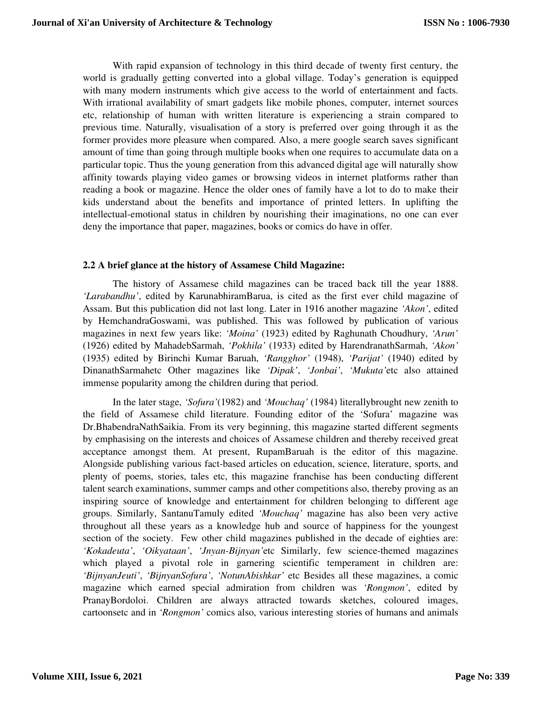With rapid expansion of technology in this third decade of twenty first century, the world is gradually getting converted into a global village. Today's generation is equipped with many modern instruments which give access to the world of entertainment and facts. With irrational availability of smart gadgets like mobile phones, computer, internet sources etc, relationship of human with written literature is experiencing a strain compared to previous time. Naturally, visualisation of a story is preferred over going through it as the former provides more pleasure when compared. Also, a mere google search saves significant amount of time than going through multiple books when one requires to accumulate data on a particular topic. Thus the young generation from this advanced digital age will naturally show affinity towards playing video games or browsing videos in internet platforms rather than reading a book or magazine. Hence the older ones of family have a lot to do to make their kids understand about the benefits and importance of printed letters. In uplifting the intellectual-emotional status in children by nourishing their imaginations, no one can ever deny the importance that paper, magazines, books or comics do have in offer.

## **2.2 A brief glance at the history of Assamese Child Magazine:**

 The history of Assamese child magazines can be traced back till the year 1888. *'Larabandhu'*, edited by KarunabhiramBarua, is cited as the first ever child magazine of Assam. But this publication did not last long. Later in 1916 another magazine *'Akon'*, edited by HemchandraGoswami, was published. This was followed by publication of various magazines in next few years like: *'Moina'* (1923) edited by Raghunath Choudhury, *'Arun'* (1926) edited by MahadebSarmah, *'Pokhila'* (1933) edited by HarendranathSarmah, *'Akon'* (1935) edited by Birinchi Kumar Baruah, *'Rangghor'* (1948), *'Parijat'* (1940) edited by DinanathSarmahetc Other magazines like *'Dipak'*, *'Jonbai'*, *'Mukuta'*etc also attained immense popularity among the children during that period.

 In the later stage, *'Sofura'*(1982) and *'Mouchaq'* (1984) literallybrought new zenith to the field of Assamese child literature. Founding editor of the 'Sofura' magazine was Dr.BhabendraNathSaikia. From its very beginning, this magazine started different segments by emphasising on the interests and choices of Assamese children and thereby received great acceptance amongst them. At present, RupamBaruah is the editor of this magazine. Alongside publishing various fact-based articles on education, science, literature, sports, and plenty of poems, stories, tales etc, this magazine franchise has been conducting different talent search examinations, summer camps and other competitions also, thereby proving as an inspiring source of knowledge and entertainment for children belonging to different age groups. Similarly, SantanuTamuly edited *'Mouchaq'* magazine has also been very active throughout all these years as a knowledge hub and source of happiness for the youngest section of the society. Few other child magazines published in the decade of eighties are: *'Kokadeuta'*, *'Oikyataan'*, *'Jnyan-Bijnyan'*etc Similarly, few science-themed magazines which played a pivotal role in garnering scientific temperament in children are: *'BijnyanJeuti'*, *'BijnyanSofura'*, *'NotunAbishkar'* etc Besides all these magazines, a comic magazine which earned special admiration from children was *'Rongmon'*, edited by PranayBordoloi. Children are always attracted towards sketches, coloured images, cartoonsetc and in *'Rongmon'* comics also, various interesting stories of humans and animals